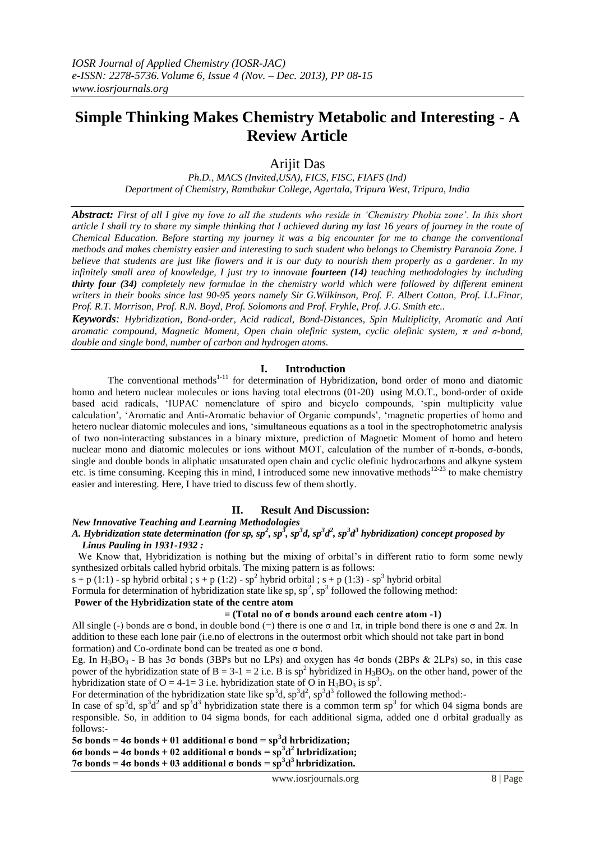# **Simple Thinking Makes Chemistry Metabolic and Interesting - A Review Article**

Arijit Das

*Ph.D., MACS (Invited,USA), FICS, FISC, FIAFS (Ind) Department of Chemistry, Ramthakur College, Agartala, Tripura West, Tripura, India*

*Abstract: First of all I give my love to all the students who reside in 'Chemistry Phobia zone'. In this short article I shall try to share my simple thinking that I achieved during my last 16 years of journey in the route of Chemical Education. Before starting my journey it was a big encounter for me to change the conventional methods and makes chemistry easier and interesting to such student who belongs to Chemistry Paranoia Zone. I believe that students are just like flowers and it is our duty to nourish them properly as a gardener. In my infinitely small area of knowledge, I just try to innovate fourteen (14) teaching methodologies by including thirty four (34) completely new formulae in the chemistry world which were followed by different eminent writers in their books since last 90-95 years namely Sir G.Wilkinson, Prof. F. Albert Cotton, Prof. I.L.Finar, Prof. R.T. Morrison, Prof. R.N. Boyd, Prof. Solomons and Prof. Fryhle, Prof. J.G. Smith etc..*

*Keywords: Hybridization, Bond-order, Acid radical, Bond-Distances, Spin Multiplicity, Aromatic and Anti aromatic compound, Magnetic Moment, Open chain olefinic system, cyclic olefinic system, π and σ-bond, double and single bond, number of carbon and hydrogen atoms.*

## **I. Introduction**

The conventional methods<sup>1-11</sup> for determination of Hybridization, bond order of mono and diatomic homo and hetero nuclear molecules or ions having total electrons (01-20) using M.O.T., bond-order of oxide based acid radicals, 'IUPAC nomenclature of spiro and bicyclo compounds, 'spin multiplicity value calculation', 'Aromatic and Anti-Aromatic behavior of Organic compunds', 'magnetic properties of homo and hetero nuclear diatomic molecules and ions, 'simultaneous equations as a tool in the spectrophotometric analysis of two non-interacting substances in a binary mixture, prediction of Magnetic Moment of homo and hetero nuclear mono and diatomic molecules or ions without MOT, calculation of the number of π-bonds, σ-bonds, single and double bonds in aliphatic unsaturated open chain and cyclic olefinic hydrocarbons and alkyne system etc. is time consuming. Keeping this in mind, I introduced some new innovative methods<sup>12-23</sup> to make chemistry easier and interesting. Here, I have tried to discuss few of them shortly.

## **II. Result And Discussion:**

*New Innovative Teaching and Learning Methodologies*

## A. Hybridization state determination (for sp, sp<sup>2</sup>, sp<sup>3</sup>, sp<sup>3</sup>d, sp<sup>3</sup>d<sup>2</sup>, sp<sup>3</sup>d<sup>3</sup> hybridization) concept proposed by  *Linus Pauling in 1931-1932 :*

We Know that, Hybridization is nothing but the mixing of orbital's in different ratio to form some newly synthesized orbitals called hybrid orbitals. The mixing pattern is as follows:

 $s + p(1:1)$  - sp hybrid orbital;  $s + p(1:2)$  - sp<sup>2</sup> hybrid orbital;  $s + p(1:3)$  - sp<sup>3</sup> hybrid orbital

Formula for determination of hybridization state like  $sp$ ,  $sp^2$ ,  $sp^3$  followed the following method:

## **Power of the Hybridization state of the centre atom**

#### **= (Total no of σ bonds around each centre atom -1)**

All single (-) bonds are σ bond, in double bond (=) there is one σ and  $1\pi$ , in triple bond there is one σ and  $2\pi$ . In addition to these each lone pair (i.e.no of electrons in the outermost orbit which should not take part in bond formation) and Co-ordinate bond can be treated as one σ bond.

Eg. In  $H_3BO_3$  - B has 3 $\sigma$  bonds (3BPs but no LPs) and oxygen has 4 $\sigma$  bonds (2BPs & 2LPs) so, in this case power of the hybridization state of  $B = 3-1 = 2$  i.e. B is sp<sup>2</sup> hybridized in H<sub>3</sub>BO<sub>3</sub>. on the other hand, power of the hybridization state of O = 4-1= 3 i.e. hybridization state of O in  $H_3BO_3$  is  $sp^3$ .

For determination of the hybridization state like  $sp^3d$ ,  $sp^3d^2$ ,  $sp^3d^3$  followed the following method:

In case of sp<sup>3</sup>d, sp<sup>3</sup>d<sup>2</sup> and sp<sup>3</sup>d<sup>3</sup> hybridization state there is a common term sp<sup>3</sup> for which 04 sigma bonds are responsible. So, in addition to 04 sigma bonds, for each additional sigma, added one d orbital gradually as follows:-

**5σ bonds = 4σ bonds + 01 additional σ bond = sp<sup>3</sup> d hrbridization; 6σ bonds = 4σ bonds + 02 additional σ bonds = sp<sup>3</sup> d 2 hrbridization; 7σ bonds = 4σ bonds + 03 additional σ bonds = sp<sup>3</sup> d 3 hrbridization.**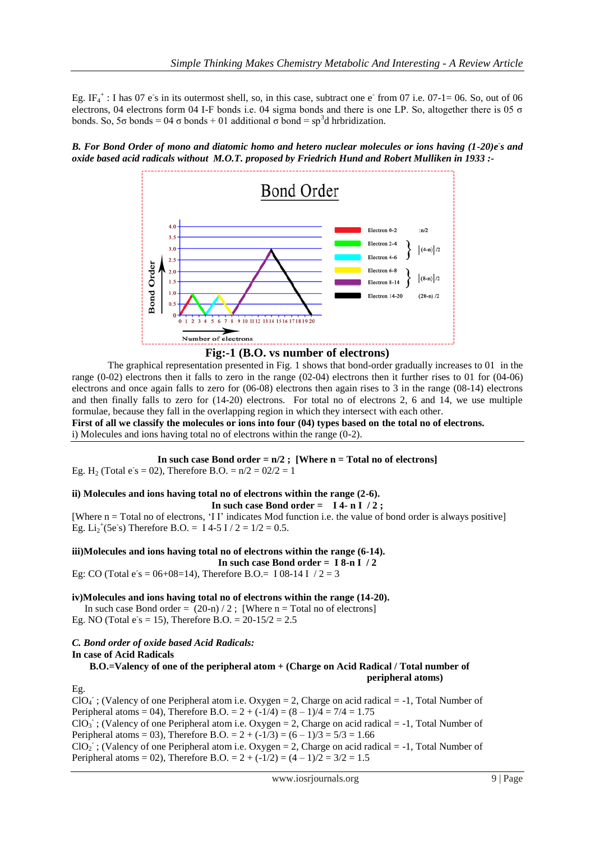Eg. IF<sub>4</sub><sup>+</sup>: I has 07 e<sup>-</sup>s in its outermost shell, so, in this case, subtract one e<sup>-</sup> from 07 i.e. 07-1= 06. So, out of 06 electrons, 04 electrons form 04 I-F bonds i.e. 04 sigma bonds and there is one LP. So, altogether there is 05  $\sigma$ bonds. So, 5σ bonds = 04 σ bonds + 01 additional σ bond = sp<sup>3</sup>d hrbridization.

B. For Bond Order of mono and diatomic homo and hetero nuclear molecules or ions having (1-20)e<sup>*s*</sup> and *oxide based acid radicals without M.O.T. proposed by Friedrich Hund and Robert Mulliken in 1933 :-*



**Fig:-1 (B.O. vs number of electrons)**

The graphical representation presented in Fig. 1 shows that bond-order gradually increases to 01 in the range (0-02) electrons then it falls to zero in the range (02-04) electrons then it further rises to 01 for (04-06) electrons and once again falls to zero for (06-08) electrons then again rises to 3 in the range (08-14) electrons and then finally falls to zero for (14-20) electrons. For total no of electrons 2, 6 and 14, we use multiple formulae, because they fall in the overlapping region in which they intersect with each other. **First of all we classify the molecules or ions into four (04) types based on the total no of electrons.**

i) Molecules and ions having total no of electrons within the range (0-2).

**In such case Bond order = n/2 ; [Where n = Total no of electrons]** Eg. H<sub>2</sub> (Total e s = 02), Therefore B.O. =  $n/2 = 02/2 = 1$ 

## **ii) Molecules and ions having total no of electrons within the range (2-6).**

**In such case Bond order = I 4- n I / 2 ;**

[Where n = Total no of electrons, 'I I' indicates Mod function i.e. the value of bond order is always positive] Eg.  $Li_2^+(5e^s)$  Therefore B.O. = I 4-5 I / 2 = 1/2 = 0.5.

## **iii)Molecules and ions having total no of electrons within the range (6-14).**

**In such case Bond order = I 8-n I / 2**

Eg: CO (Total  $e$ 's = 06+08=14), Therefore B.O.= I 08-14 I / 2 = 3

**iv)Molecules and ions having total no of electrons within the range (14-20).**

In such case Bond order =  $(20-n)/2$ ; [Where n = Total no of electrons] Eg. NO (Total  $e$ 's = 15), Therefore B.O. = 20-15/2 = 2.5

## *C. Bond order of oxide based Acid Radicals:* **In case of Acid Radicals**

 **B.O.=Valency of one of the peripheral atom + (Charge on Acid Radical / Total number of peripheral atoms)**

## Eg.

 $CIO<sub>4</sub>$ ; (Valency of one Peripheral atom i.e. Oxygen = 2, Charge on acid radical = -1, Total Number of Peripheral atoms = 04), Therefore B.O. =  $2 + (-1/4) = (8 - 1)/4 = 7/4 = 1.75$  $ClO<sub>3</sub>$ ; (Valency of one Peripheral atom i.e. Oxygen = 2, Charge on acid radical = -1, Total Number of Peripheral atoms = 03), Therefore B.O. =  $2 + (-1/3) = (6 - 1)/3 = 5/3 = 1.66$  $ClO<sub>2</sub>$ ; (Valency of one Peripheral atom i.e. Oxygen = 2, Charge on acid radical = -1, Total Number of Peripheral atoms = 02), Therefore B.O. =  $2 + (-1/2) = (4 - 1)/2 = 3/2 = 1.5$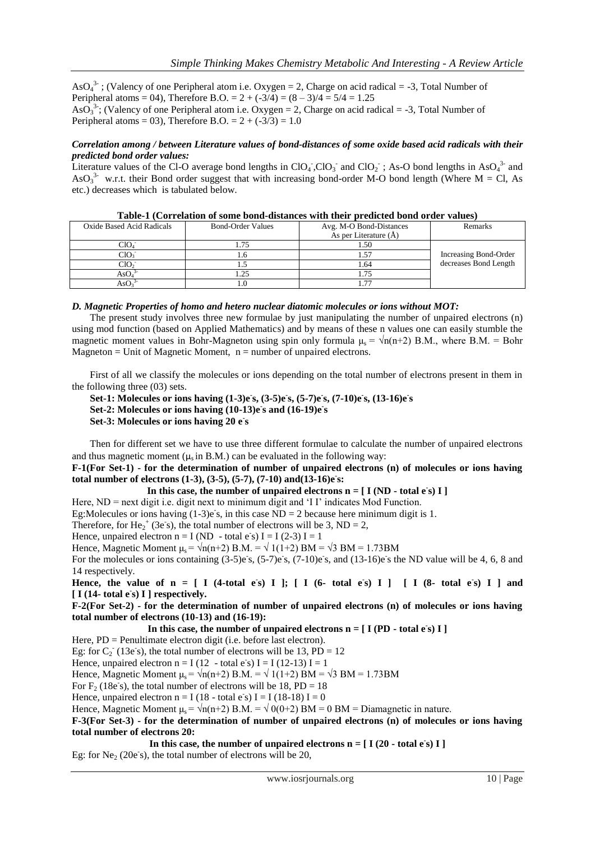AsO<sub>4</sub><sup>3-</sup>; (Valency of one Peripheral atom i.e. Oxygen = 2, Charge on acid radical = -3, Total Number of Peripheral atoms = 04), Therefore B.O. =  $2 + (-3/4) = (8 - 3)/4 = 5/4 = 1.25$ AsO<sub>3</sub><sup>3</sup>; (Valency of one Peripheral atom i.e. Oxygen = 2, Charge on acid radical = -3, Total Number of Peripheral atoms = 03), Therefore B.O. =  $2 + (-3/3) = 1.0$ 

## *Correlation among / between Literature values of bond-distances of some oxide based acid radicals with their predicted bond order values:*

Literature values of the Cl-O average bond lengths in  $ClO_4$ ,  $ClO_3$  and  $ClO_2$ ; As-O bond lengths in AsO<sub>4</sub><sup>3</sup> and AsO<sub>3</sub><sup>3-</sup> w.r.t. their Bond order suggest that with increasing bond-order M-O bond length (Where M = Cl, As etc.) decreases which is tabulated below.

| Oxide Based Acid Radicals | <b>Bond-Order Values</b> | Avg. M-O Bond-Distances   | Remarks               |
|---------------------------|--------------------------|---------------------------|-----------------------|
|                           |                          | As per Literature $(\AA)$ |                       |
| CIO <sub>4</sub>          | .75                      | 1.50                      |                       |
|                           |                          |                           | Increasing Bond-Order |
| CIO                       |                          | 1.64                      | decreases Bond Length |
| As(                       |                          |                           |                       |
|                           |                          |                           |                       |

| Table-1 (Correlation of some bond-distances with their predicted bond order values) |  |  |  |  |  |  |  |
|-------------------------------------------------------------------------------------|--|--|--|--|--|--|--|
|-------------------------------------------------------------------------------------|--|--|--|--|--|--|--|

#### *D. Magnetic Properties of homo and hetero nuclear diatomic molecules or ions without MOT:*

The present study involves three new formulae by just manipulating the number of unpaired electrons (n) using mod function (based on Applied Mathematics) and by means of these n values one can easily stumble the magnetic moment values in Bohr-Magneton using spin only formula  $\mu_s = \sqrt{n(n+2)}$  B.M., where B.M. = Bohr Magneton  $=$  Unit of Magnetic Moment,  $n =$  number of unpaired electrons.

First of all we classify the molecules or ions depending on the total number of electrons present in them in the following three (03) sets.

**Set-1: Molecules or ions having (1-3)e-s, (3-5)e-s, (5-7)e-s, (7-10)e-s, (13-16)e-s Set-2: Molecules or ions having (10-13)e-s and (16-19)e-s Set-3: Molecules or ions having 20 e-s**

Then for different set we have to use three different formulae to calculate the number of unpaired electrons and thus magnetic moment  $(u, in B.M.)$  can be evaluated in the following way:

**F-1(For Set-1) - for the determination of number of unpaired electrons (n) of molecules or ions having total number of electrons (1-3), (3-5), (5-7), (7-10) and(13-16)e-s:**

In this case, the number of unpaired electrons  $n = [I (ND - total e s) I]$ 

Here,  $ND = next$  digit i.e. digit next to minimum digit and 'I I' indicates Mod Function.

Eg:Molecules or ions having  $(1-3)e$  s, in this case ND = 2 because here minimum digit is 1.

Therefore, for He<sub>2</sub><sup>+</sup> (3e<sup>s</sup>), the total number of electrons will be 3, ND = 2,

Hence, unpaired electron  $n = I (ND - total e<sup>s</sup>) I = I (2-3) I = 1$ 

Hence, Magnetic Moment  $\mu_s = \sqrt{n(n+2)} B.M. = \sqrt{1(1+2)} BM = \sqrt{3} BM = 1.73 BM$ 

For the molecules or ions containing  $(3-5)e^{\frac{1}{5}}$ ,  $(5-7)e^{\frac{1}{5}}$ ,  $(7-10)e^{\frac{1}{5}}$ , and  $(13-16)e^{\frac{1}{5}}$  the ND value will be 4, 6, 8 and 14 respectively.

Hence, the value of  $n = [$  I (4-total e<sup>s</sup>) I ];  $[$  I (6- total e<sup>s</sup>) I ]  $[$  I (8- total e<sup>s</sup>) I ] and **[ I (14- total e-s) I ] respectively.**

**F-2(For Set-2) - for the determination of number of unpaired electrons (n) of molecules or ions having total number of electrons (10-13) and (16-19):**

In this case, the number of unpaired electrons  $n = [I (PD - total e<sub>S</sub>) I]$ 

Here, PD = Penultimate electron digit (i.e. before last electron).

Eg: for  $C_2$ <sup>-</sup> (13e<sup>s</sup>s), the total number of electrons will be 13, PD = 12

Hence, unpaired electron  $n = I(12 - \text{total } e \text{ s}) I = I(12-13) I = 1$ 

Hence, Magnetic Moment  $\mu_s = \sqrt{n(n+2)} B.M. = \sqrt{(1+2)} BM = \sqrt{3} BM = 1.73 BM$ 

For  $F_2$  (18e s), the total number of electrons will be 18, PD = 18

Hence, unpaired electron  $n = I(18 - \text{total } e^s) I = I(18-18) I = 0$ 

Hence, Magnetic Moment  $\mu_s = \sqrt{n(n+2)} B.M. = \sqrt{0(0+2)} BM = 0 BM =$ Diamagnetic in nature.

**F-3(For Set-3) - for the determination of number of unpaired electrons (n) of molecules or ions having total number of electrons 20:**

In this case, the number of unpaired electrons  $n = [I(20 - total e s) I]$ Eg: for Ne<sub>2</sub> (20e<sup>s</sup>), the total number of electrons will be 20,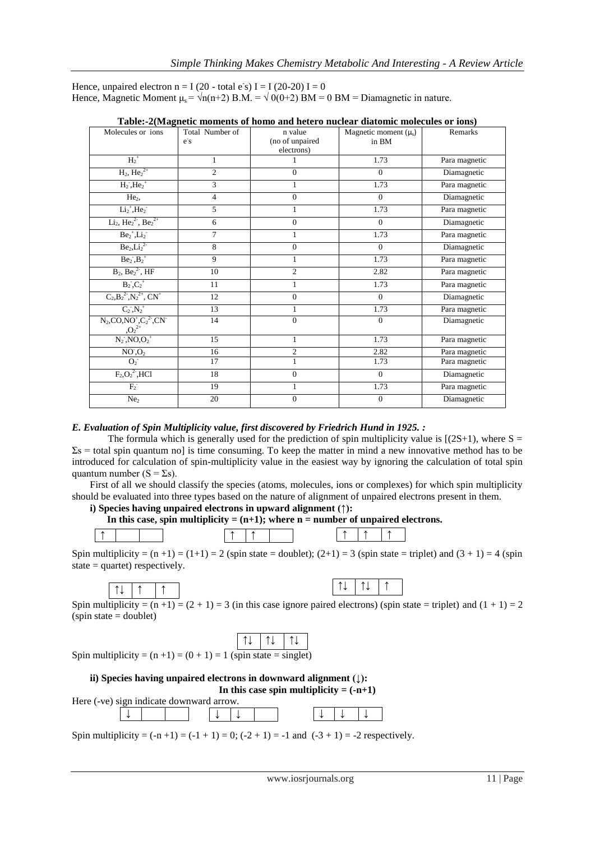Hence, unpaired electron  $n = I(20 - total e^s) I = I(20-20) I = 0$ Hence, Magnetic Moment  $\mu_s = \sqrt{n(n+2)} B.M. = \sqrt{0(0+2)} BM = 0 BM = Diamagnetic in nature.$ 

| Molecules or ions                                                    | Total Number of<br>$\overline{e}$ s | n value<br>(no of unpaired<br>electrons) | Magnetic moment $(\mu_s)$<br>in BM | Remarks       |
|----------------------------------------------------------------------|-------------------------------------|------------------------------------------|------------------------------------|---------------|
| $H_2^+$                                                              | $\mathbf{1}$                        |                                          | 1.73                               | Para magnetic |
| $H_2$ , $He_2^{2+}$                                                  | $\overline{2}$                      | $\Omega$                                 | $\overline{0}$                     | Diamagnetic   |
| $H_2$ , $He_2$ <sup>+</sup>                                          | 3                                   |                                          | 1.73                               | Para magnetic |
| He <sub>2</sub>                                                      | $\overline{4}$                      | $\theta$                                 | $\theta$                           | Diamagnetic   |
| $Li2+, He2$                                                          | 5                                   | 1                                        | 1.73                               | Para magnetic |
| $Li2$ , $He22$ , $Be22+$                                             | 6                                   | $\theta$                                 | $\mathbf{0}$                       | Diamagnetic   |
| $Be2+, Li2$                                                          | $\overline{7}$                      | $\mathbf{1}$                             | 1.73                               | Para magnetic |
| $Be2, Li22$                                                          | 8                                   | $\theta$                                 | $\overline{0}$                     | Diamagnetic   |
| $Be_2, B_2^+$                                                        | 9                                   |                                          | 1.73                               | Para magnetic |
| $B_2, Be_2^2, HF$                                                    | 10                                  | $\overline{c}$                           | 2.82                               | Para magnetic |
| $B_2, C_2^+$                                                         | 11                                  | 1                                        | 1.73                               | Para magnetic |
| $C_2, B_2^2, N_2^2, CN^+$                                            | 12                                  | $\overline{0}$                           | $\mathbf{0}$                       | Diamagnetic   |
| $C_2, N_2^+$                                                         | 13                                  | 1                                        | 1.73                               | Para magnetic |
| $N_2$ , $CO$ , $NO^+$ , $C_2^2$ <sup>-</sup> , $CN^-$<br>$,O_2^{2+}$ | 14                                  | $\overline{0}$                           | $\mathbf{0}$                       | Diamagnetic   |
| $N_2$ , $NO, O_2$ <sup>+</sup>                                       | 15                                  | $\mathbf{1}$                             | 1.73                               | Para magnetic |
| NO <sub>1</sub> O <sub>2</sub>                                       | 16                                  | $\overline{c}$                           | 2.82                               | Para magnetic |
| $O_2^-$                                                              | 17                                  | $\mathbf{1}$                             | 1.73                               | Para magnetic |
| $F_2, O_2^2$ <sup>2</sup> , HCl                                      | 18                                  | $\Omega$                                 | $\theta$                           | Diamagnetic   |
| $F_2^-$                                                              | 19                                  | 1                                        | 1.73                               | Para magnetic |
| Ne <sub>2</sub>                                                      | 20                                  | $\Omega$                                 | $\mathbf{0}$                       | Diamagnetic   |

| Table:-2(Magnetic moments of homo and hetero nuclear diatomic molecules or ions) |  |  |  |
|----------------------------------------------------------------------------------|--|--|--|
|                                                                                  |  |  |  |
|                                                                                  |  |  |  |

## *E. Evaluation of Spin Multiplicity value, first discovered by Friedrich Hund in 1925. :*

The formula which is generally used for the prediction of spin multiplicity value is  $[(2S+1)$ , where S =  $\Sigma$ s = total spin quantum no] is time consuming. To keep the matter in mind a new innovative method has to be introduced for calculation of spin-multiplicity value in the easiest way by ignoring the calculation of total spin quantum number ( $S = \Sigma s$ ).

First of all we should classify the species (atoms, molecules, ions or complexes) for which spin multiplicity should be evaluated into three types based on the nature of alignment of unpaired electrons present in them.

**i) Species having unpaired electrons in upward alignment (↑):** 

```
In this case, spin multiplicity = (n+1); where n = number of unpaired electrons.
```


Spin multiplicity =  $(n+1)$  =  $(1+1)$  = 2 (spin state = doublet);  $(2+1)$  = 3 (spin state = triplet) and  $(3 + 1)$  = 4 (spin state  $=$  quartet) respectively.

↑↓ ↑↓ ↑

Spin multiplicity =  $(n+1)$  =  $(2 + 1)$  = 3 (in this case ignore paired electrons) (spin state = triplet) and  $(1 + 1)$  = 2  $(spin state = doublet)$ 

|--|

Spin multiplicity =  $(n + 1) = (0 + 1) = 1$  (spin state = singlet)



Spin multiplicity =  $(-n + 1) = (-1 + 1) = 0$ ;  $(-2 + 1) = -1$  and  $(-3 + 1) = -2$  respectively.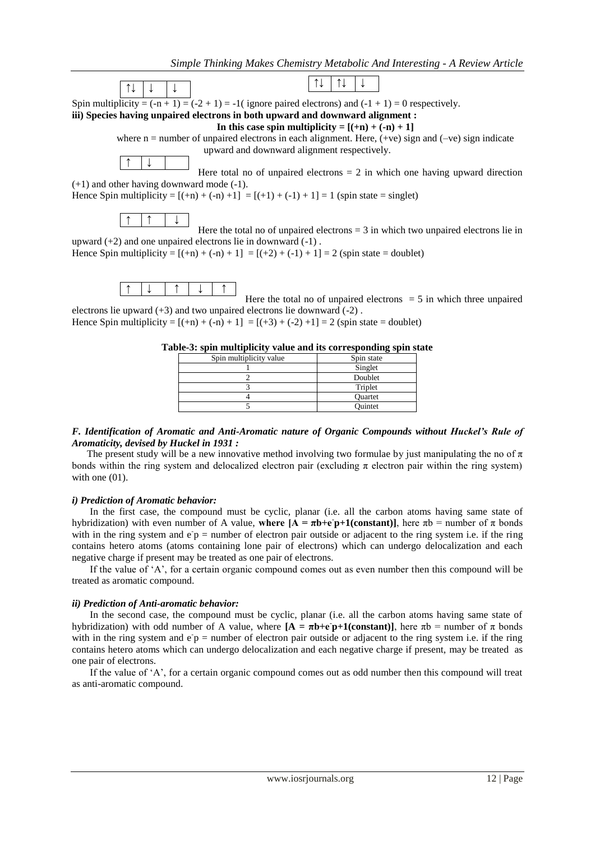

Hence Spin multiplicity =  $[(+n) + (-n) + 1] = [(+2) + (-1) + 1] = 2$  (spin state = doublet)



Here the total no of unpaired electrons  $= 5$  in which three unpaired electrons lie upward (+3) and two unpaired electrons lie downward (-2) .

Hence Spin multiplicity =  $[(+n) + (-n) + 1] = [(+3) + (-2) + 1] = 2$  (spin state = doublet)

| Spin multiplicity value | Spin state     |
|-------------------------|----------------|
|                         | Singlet        |
|                         | Doublet        |
|                         | Triplet        |
|                         | <b>Ouartet</b> |
|                         | Ouintet        |

|--|

#### *F. Identification of Aromatic and Anti-Aromatic nature of Organic Compounds without Huckel's Rule of Aromaticity, devised by Huckel in 1931 :*

The present study will be a new innovative method involving two formulae by just manipulating the no of  $\pi$ bonds within the ring system and delocalized electron pair (excluding  $\pi$  electron pair within the ring system) with one  $(01)$ .

#### *i) Prediction of Aromatic behavior:*

In the first case, the compound must be cyclic, planar (i.e. all the carbon atoms having same state of hybridization) with even number of A value, where  $[$ **A** = πb+e p+1(constant)], here πb = number of π bonds with in the ring system and  $e\bar{p}$  = number of electron pair outside or adjacent to the ring system i.e. if the ring contains hetero atoms (atoms containing lone pair of electrons) which can undergo delocalization and each negative charge if present may be treated as one pair of electrons.

If the value of 'A', for a certain organic compound comes out as even number then this compound will be treated as aromatic compound.

#### *ii) Prediction of Anti-aromatic behavior:*

In the second case, the compound must be cyclic, planar (i.e. all the carbon atoms having same state of hybridization) with odd number of A value, where  $[A = \pi b + e \, p + 1$ (constant)], here  $\pi b$  = number of  $\pi$  bonds with in the ring system and  $e^-p$  = number of electron pair outside or adjacent to the ring system i.e. if the ring contains hetero atoms which can undergo delocalization and each negative charge if present, may be treated as one pair of electrons.

If the value of 'A', for a certain organic compound comes out as odd number then this compound will treat as anti-aromatic compound.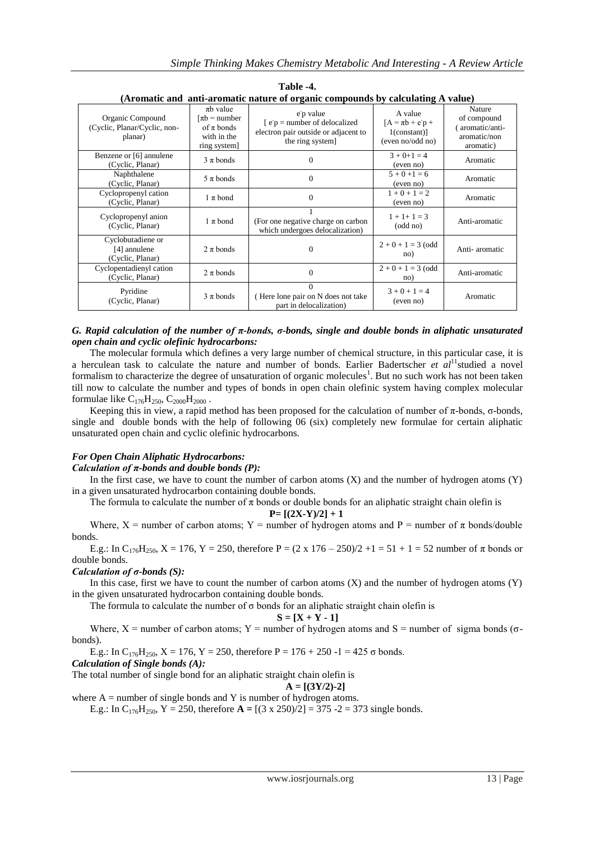|                                                             |                                                                                                  | Aromatic and anti-aromatic nature of organic compounds by calculating A value)                              |                                                                                  |                                                                      |
|-------------------------------------------------------------|--------------------------------------------------------------------------------------------------|-------------------------------------------------------------------------------------------------------------|----------------------------------------------------------------------------------|----------------------------------------------------------------------|
| Organic Compound<br>(Cyclic, Planar/Cyclic, non-<br>planar) | $\pi b$ value<br>$\lceil \pi b \rceil$ = number<br>of $\pi$ bonds<br>with in the<br>ring system] | e p value<br>$\epsilon$ = number of delocalized<br>electron pair outside or adjacent to<br>the ring system] | A value<br>$[A = \pi b + e^{\dagger} p +$<br>$1$ (constant)]<br>(even no/odd no) | Nature<br>of compound<br>aromatic/anti-<br>aromatic/non<br>aromatic) |
| Benzene or [6] annulene<br>(Cyclic, Planar)                 | $3 \pi$ bonds                                                                                    | $\Omega$                                                                                                    | $3 + 0 + 1 = 4$<br>(even no)                                                     | Aromatic                                                             |
| Naphthalene<br>(Cyclic, Planar)                             | $5 \pi$ bonds                                                                                    | $\Omega$                                                                                                    | $5 + 0 + 1 = 6$<br>(even no)                                                     | Aromatic                                                             |
| Cyclopropenyl cation<br>(Cyclic, Planar)                    | $1 \pi$ bond                                                                                     | $\mathbf{0}$                                                                                                | $1 + 0 + 1 = 2$<br>(even no)                                                     | Aromatic                                                             |
| Cyclopropenyl anion<br>(Cyclic, Planar)                     | $1 \pi$ bond                                                                                     | (For one negative charge on carbon<br>which undergoes delocalization)                                       | $1 + 1 + 1 = 3$<br>(odd no)                                                      | Anti-aromatic                                                        |
| Cyclobutadiene or<br>[4] annulene<br>(Cyclic, Planar)       | $2 \pi$ bonds                                                                                    | 0                                                                                                           | $2 + 0 + 1 = 3$ (odd<br>no)                                                      | Anti-aromatic                                                        |
| Cyclopentadienyl cation<br>(Cyclic, Planar)                 | $2 \pi$ bonds                                                                                    | $\Omega$                                                                                                    | $2 + 0 + 1 = 3$ (odd<br>no)                                                      | Anti-aromatic                                                        |
| Pyridine<br>(Cyclic, Planar)                                | $3 \pi$ bonds                                                                                    | $\Omega$<br>(Here lone pair on N does not take<br>part in delocalization)                                   | $3 + 0 + 1 = 4$<br>(even no)                                                     | Aromatic                                                             |

**Table -4. (Aromatic and anti-aromatic nature of organic compounds by calculating A value)**

#### *G. Rapid calculation of the number of π-bonds, σ-bonds, single and double bonds in aliphatic unsaturated open chain and cyclic olefinic hydrocarbons:*

The molecular formula which defines a very large number of chemical structure, in this particular case, it is a herculean task to calculate the nature and number of bonds. Earlier Badertscher *et al*<sup>11</sup>studied a novel formalism to characterize the degree of unsaturation of organic molecules<sup>1</sup>. But no such work has not been taken till now to calculate the number and types of bonds in open chain olefinic system having complex molecular formulae like  $C_{176}H_{250}$ ,  $C_{2000}H_{2000}$ .

Keeping this in view, a rapid method has been proposed for the calculation of number of  $π$ -bonds,  $σ$ -bonds, single and double bonds with the help of following 06 (six) completely new formulae for certain aliphatic unsaturated open chain and cyclic olefinic hydrocarbons.

## *For Open Chain Aliphatic Hydrocarbons:*

*Calculation of π-bonds and double bonds (P):*

In the first case, we have to count the number of carbon atoms  $(X)$  and the number of hydrogen atoms  $(Y)$ in a given unsaturated hydrocarbon containing double bonds.

The formula to calculate the number of  $\pi$  bonds or double bonds for an aliphatic straight chain olefin is

 $P=[(2X-Y)/2]+1$ 

Where,  $X =$  number of carbon atoms;  $Y =$  number of hydrogen atoms and  $P =$  number of  $\pi$  bonds/double bonds.

E.g.: In C<sub>176</sub>H<sub>250</sub>, X = 176, Y = 250, therefore P =  $(2 \times 176 - 250)/2 +1 = 51 + 1 = 52$  number of  $\pi$  bonds or double bonds.

## *Calculation of σ-bonds (S):*

In this case, first we have to count the number of carbon atoms  $(X)$  and the number of hydrogen atoms  $(Y)$ in the given unsaturated hydrocarbon containing double bonds.

The formula to calculate the number of  $\sigma$  bonds for an aliphatic straight chain olefin is

$$
S = [X + Y - 1]
$$

Where,  $X =$  number of carbon atoms;  $Y =$  number of hydrogen atoms and  $S =$  number of sigma bonds ( $\sigma$ bonds).

E.g.: In C<sub>176</sub>H<sub>250</sub>, X = 176, Y = 250, therefore P = 176 + 250 -1 = 425  $\sigma$  bonds.

*Calculation of Single bonds (A):*

The total number of single bond for an aliphatic straight chain olefin is

$$
A=[(3Y/2)-2]
$$

where  $A =$  number of single bonds and Y is number of hydrogen atoms.

E.g.: In C<sub>176</sub>H<sub>250</sub>, Y = 250, therefore  $A = [(3 \times 250)/2] = 375 - 2 = 373$  single bonds.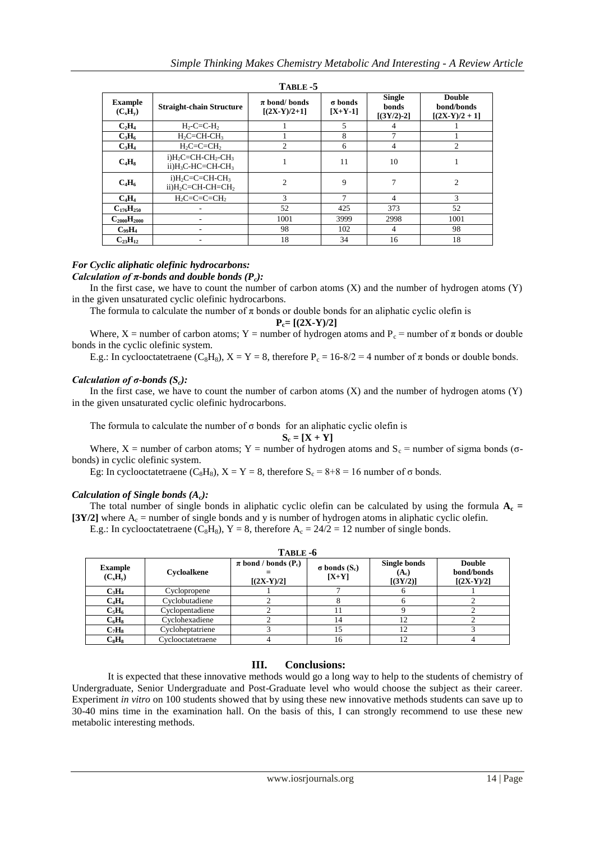| 1 АВLЕ -Э                    |                                                                 |                                     |                      |                                        |                                                 |  |
|------------------------------|-----------------------------------------------------------------|-------------------------------------|----------------------|----------------------------------------|-------------------------------------------------|--|
| <b>Example</b><br>$(C_xH_v)$ | <b>Straight-chain Structure</b>                                 | $\pi$ bond/ bonds<br>$[(2X-Y)/2+1]$ | σ bonds<br>$[X+Y-1]$ | <b>Single</b><br>bonds<br>$[(3Y/2)-2]$ | <b>Double</b><br>bond/bonds<br>$[(2X-Y)/2 + 1]$ |  |
| $C_2H_4$                     | $H_2-C=C-H_2$                                                   |                                     | 5                    | 4                                      |                                                 |  |
| $C_3H_6$                     | $H_2C=CH-CH_3$                                                  |                                     | 8                    | $\overline{ }$                         |                                                 |  |
| $C_3H_4$                     | $H_2C=C=CH$                                                     | $\overline{c}$                      | 6                    | 4                                      | $\overline{2}$                                  |  |
| $C_4H_8$                     | $i)H_2C=CH-CH_2-CH_3$<br>$ii)H_3C-HC=CH-CH_3$                   |                                     | 11                   | 10                                     |                                                 |  |
| $C_4H_6$                     | $i)H_2C=C=CH-CH_3$<br>ii)H <sub>2</sub> C=CH-CH=CH <sub>2</sub> | $\overline{c}$                      | 9                    | 7                                      | $\overline{2}$                                  |  |
| $C_4H_4$                     | $H_2C=C=C=CH_2$                                                 | 3                                   | $\tau$               | 4                                      | 3                                               |  |
| $C_{176}H_{250}$             |                                                                 | 52                                  | 425                  | 373                                    | 52                                              |  |
| $C_{2000}H_{2000}$           |                                                                 | 1001                                | 3999                 | 2998                                   | 1001                                            |  |
| $C_{99}H_4$                  |                                                                 | 98                                  | 102                  | 4                                      | 98                                              |  |
| $C_{23}H_{12}$               |                                                                 | 18                                  | 34                   | 16                                     | 18                                              |  |

**TABLE -5**

#### *For Cyclic aliphatic olefinic hydrocarbons: Calculation of π-bonds and double bonds (Pc):*

In the first case, we have to count the number of carbon atoms  $(X)$  and the number of hydrogen atoms  $(Y)$ in the given unsaturated cyclic olefinic hydrocarbons.

The formula to calculate the number of  $\pi$  bonds or double bonds for an aliphatic cyclic olefin is

 $P_c = [(2X-Y)/2]$ 

Where, X = number of carbon atoms; Y = number of hydrogen atoms and  $P_c$  = number of  $\pi$  bonds or double bonds in the cyclic olefinic system.

E.g.: In cyclooctatetraene (C<sub>8</sub>H<sub>8</sub>),  $X = Y = 8$ , therefore P<sub>c</sub> = 16-8/2 = 4 number of  $\pi$  bonds or double bonds.

## *Calculation of σ-bonds (Sc):*

In the first case, we have to count the number of carbon atoms  $(X)$  and the number of hydrogen atoms  $(Y)$ in the given unsaturated cyclic olefinic hydrocarbons.

The formula to calculate the number of  $\sigma$  bonds for an aliphatic cyclic olefin is

$$
S_c = [X + Y]
$$

Where, X = number of carbon atoms; Y = number of hydrogen atoms and  $S_c$  = number of sigma bonds ( $\sigma$ bonds) in cyclic olefinic system.

Eg: In cyclooctatetraene ( $C_8H_8$ ),  $X = Y = 8$ , therefore  $S_c = 8+8 = 16$  number of  $\sigma$  bonds.

## *Calculation of Single bonds (Ac):*

The total number of single bonds in aliphatic cyclic olefin can be calculated by using the formula  $A_c$  = [3Y/2] where  $A_c$  = number of single bonds and y is number of hydrogen atoms in aliphatic cyclic olefin.

E.g.: In cyclooctatetraene (C<sub>8</sub>H<sub>8</sub>), Y = 8, therefore  $A_c = 24/2 = 12$  number of single bonds.

| 1 АВLЕ -0                    |                   |                                                      |                                   |                                     |                                             |  |  |
|------------------------------|-------------------|------------------------------------------------------|-----------------------------------|-------------------------------------|---------------------------------------------|--|--|
| <b>Example</b><br>$(C_xH_v)$ | Cycloalkene       | $\pi$ bond / bonds (P <sub>c</sub> )<br>$[(2X-Y)/2]$ | $\sigma$ bonds $(S_c)$<br>$[X+Y]$ | Single bonds<br>$(A_c)$<br>[(3Y/2)] | <b>Double</b><br>bond/bonds<br>$[(2X-Y)/2]$ |  |  |
| $C_3H_4$                     | Cyclopropene      |                                                      |                                   |                                     |                                             |  |  |
| $C_4H_4$                     | Cyclobutadiene    |                                                      |                                   |                                     |                                             |  |  |
| $C_5H_6$                     | Cyclopentadiene   |                                                      |                                   |                                     |                                             |  |  |
| $C_6H_8$                     | Cyclohexadiene    |                                                      | 14                                | 12                                  |                                             |  |  |
| $C_7H_8$                     | Cycloheptatriene  |                                                      |                                   | 12                                  |                                             |  |  |
| $C_8H_8$                     | Cyclooctatetraene |                                                      | 16                                | 12                                  |                                             |  |  |

## **TABLE -6**

## **III. Conclusions:**

It is expected that these innovative methods would go a long way to help to the students of chemistry of Undergraduate, Senior Undergraduate and Post-Graduate level who would choose the subject as their career. Experiment *in vitro* on 100 students showed that by using these new innovative methods students can save up to 30-40 mins time in the examination hall. On the basis of this, I can strongly recommend to use these new metabolic interesting methods.